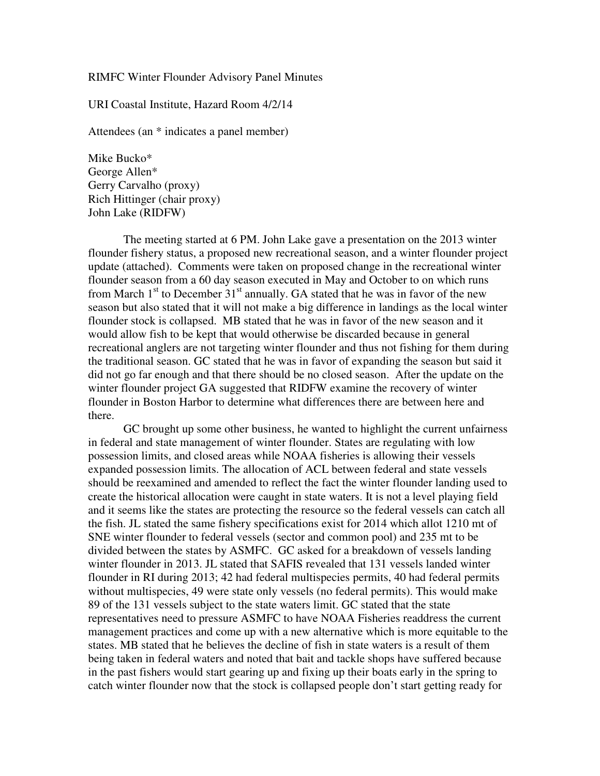RIMFC Winter Flounder Advisory Panel Minutes

URI Coastal Institute, Hazard Room 4/2/14

Attendees (an \* indicates a panel member)

Mike Bucko\* George Allen\* Gerry Carvalho (proxy) Rich Hittinger (chair proxy) John Lake (RIDFW)

The meeting started at 6 PM. John Lake gave a presentation on the 2013 winter flounder fishery status, a proposed new recreational season, and a winter flounder project update (attached). Comments were taken on proposed change in the recreational winter flounder season from a 60 day season executed in May and October to on which runs from March  $1<sup>st</sup>$  to December  $31<sup>st</sup>$  annually. GA stated that he was in favor of the new season but also stated that it will not make a big difference in landings as the local winter flounder stock is collapsed. MB stated that he was in favor of the new season and it would allow fish to be kept that would otherwise be discarded because in general recreational anglers are not targeting winter flounder and thus not fishing for them during the traditional season. GC stated that he was in favor of expanding the season but said it did not go far enough and that there should be no closed season. After the update on the winter flounder project GA suggested that RIDFW examine the recovery of winter flounder in Boston Harbor to determine what differences there are between here and there.

GC brought up some other business, he wanted to highlight the current unfairness in federal and state management of winter flounder. States are regulating with low possession limits, and closed areas while NOAA fisheries is allowing their vessels expanded possession limits. The allocation of ACL between federal and state vessels should be reexamined and amended to reflect the fact the winter flounder landing used to create the historical allocation were caught in state waters. It is not a level playing field and it seems like the states are protecting the resource so the federal vessels can catch all the fish. JL stated the same fishery specifications exist for 2014 which allot 1210 mt of SNE winter flounder to federal vessels (sector and common pool) and 235 mt to be divided between the states by ASMFC. GC asked for a breakdown of vessels landing winter flounder in 2013. JL stated that SAFIS revealed that 131 vessels landed winter flounder in RI during 2013; 42 had federal multispecies permits, 40 had federal permits without multispecies, 49 were state only vessels (no federal permits). This would make 89 of the 131 vessels subject to the state waters limit. GC stated that the state representatives need to pressure ASMFC to have NOAA Fisheries readdress the current management practices and come up with a new alternative which is more equitable to the states. MB stated that he believes the decline of fish in state waters is a result of them being taken in federal waters and noted that bait and tackle shops have suffered because in the past fishers would start gearing up and fixing up their boats early in the spring to catch winter flounder now that the stock is collapsed people don't start getting ready for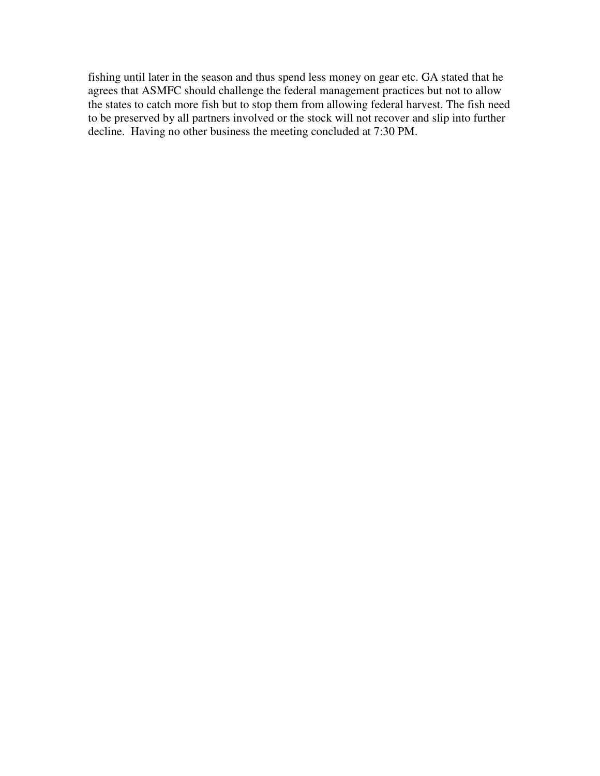fishing until later in the season and thus spend less money on gear etc. GA stated that he agrees that ASMFC should challenge the federal management practices but not to allow the states to catch more fish but to stop them from allowing federal harvest. The fish need to be preserved by all partners involved or the stock will not recover and slip into further decline. Having no other business the meeting concluded at 7:30 PM.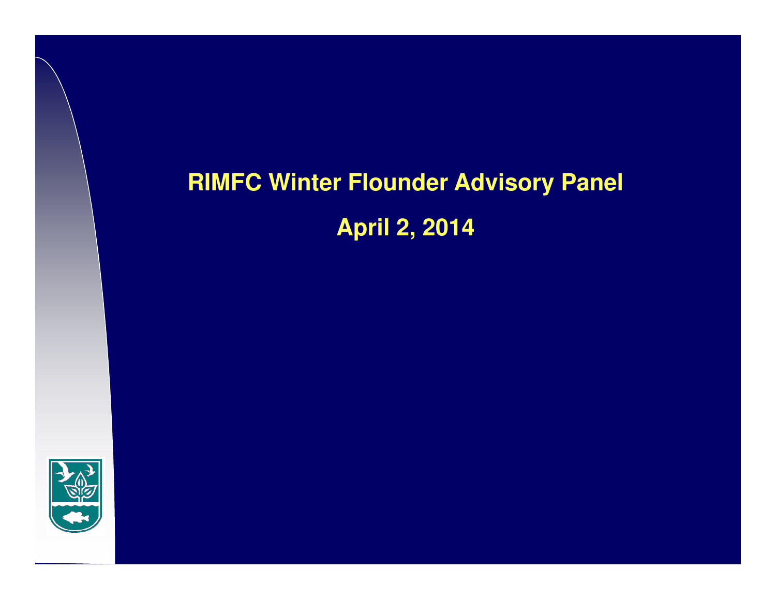# **RIMFC Winter Flounder Advisory PanelApril 2, 2014**

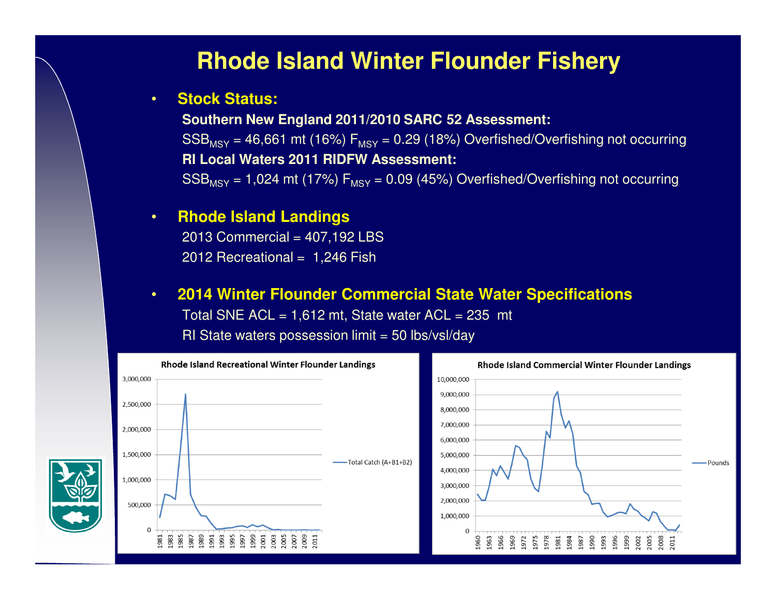## **Rhode Island Winter Flounder Fishery**

#### •**Stock Status:**

**Southern New England 2011/2010 SARC 52 Assessment:**  $\mathsf{SSB_{MSY}}$  = 46,661 mt (16%)  $\mathsf{F_{MSY}}$  = 0.29 (18%)  $\mathsf{Overfished/Overfishing}$  not occurring **RI Local Waters 2011 RIDFW Assessment:** $\mathrm{SSB_{MSY}}$  = 1,024 mt (17%)  $\mathsf{F_{MSY}}$  = 0.09 (45%) Overfished/Overfishing not occurring

#### •**Rhode Island Landings**

 2013 Commercial = 407,192 LBS2012 Recreational = 1,246 Fish

#### •**2014 Winter Flounder Commercial State Water Specifications**

Total SNE  $ACL = 1,612$  mt, State water  $ACL = 235$  mt

 $RI$  State waters possession limit = 50 lbs/vsl/day

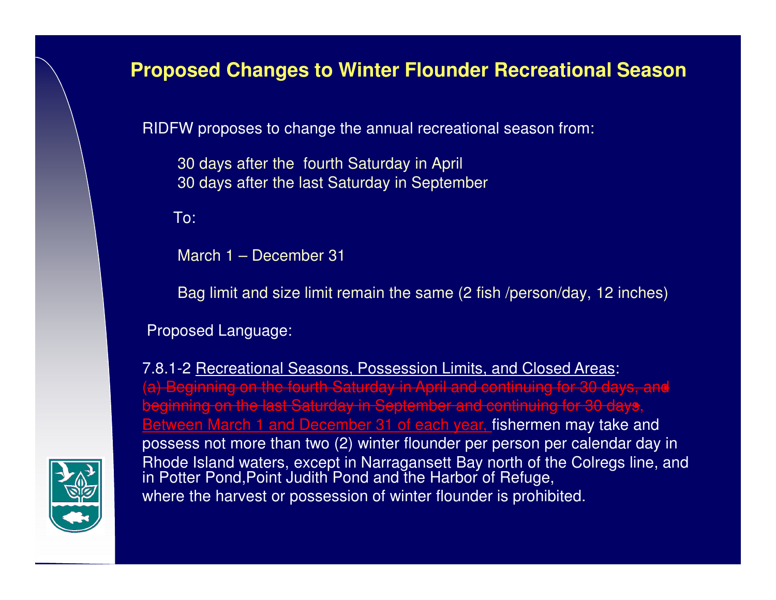### **Proposed Changes to Winter Flounder Recreational Season**

RIDFW proposes to change the annual recreational season from:

30 days after the fourth Saturday in April30 days after the last Saturday in September

To:

March 1 – December 31

Bag limit and size limit remain the same (2 fish /person/day, 12 inches)

Proposed Language:

7.8.1-2 Recreational Seasons, Possession Limits, and Closed Areas: (a) Beginning on the fourth Saturday in April and continuing for 30 days, and beginning on the last Saturday in September and continuing for 30 days, Between March 1 and December 31 of each year, fishermen may take and possess not more than two (2) winter flounder per person per calendar day in Rhode Island waters, except in Narragansett Bay north of the Colregs line, and in Potter Pond,Point Judith Pond and the Harbor of Refuge, where the harvest or possession of winter flounder is prohibited.

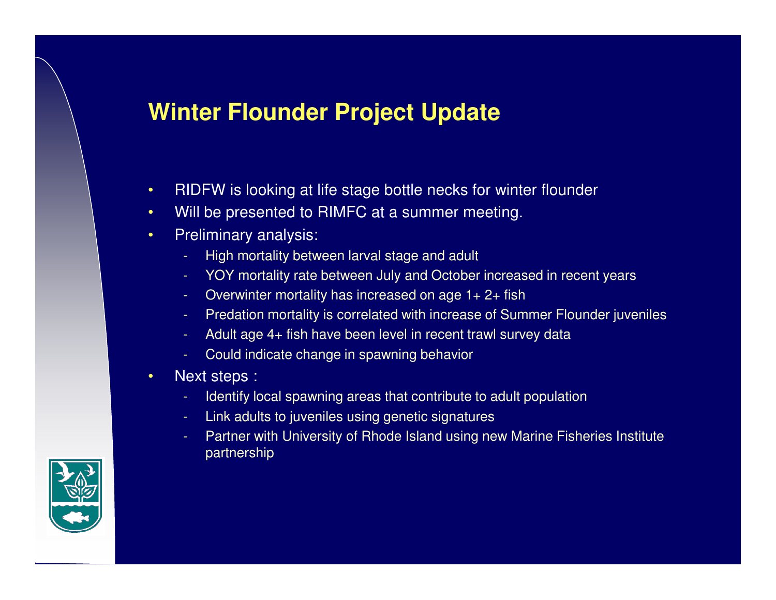## **Winter Flounder Project Update**

- •RIDFW is looking at life stage bottle necks for winter flounder
- •Will be presented to RIMFC at a summer meeting.
- • Preliminary analysis:
	- High mortality between larval stage and adult
	- YOY mortality rate between July and October increased in recent years
	- Overwinter mortality has increased on age 1+ 2+ fish
	- Predation mortality is correlated with increase of Summer Flounder juveniles
	- Adult age 4+ fish have been level in recent trawl survey data
	- Could indicate change in spawning behavior
- • Next steps :
	- Identify local spawning areas that contribute to adult population
	- Link adults to juveniles using genetic signatures
	- Partner with University of Rhode Island using new Marine Fisheries Institute partnership

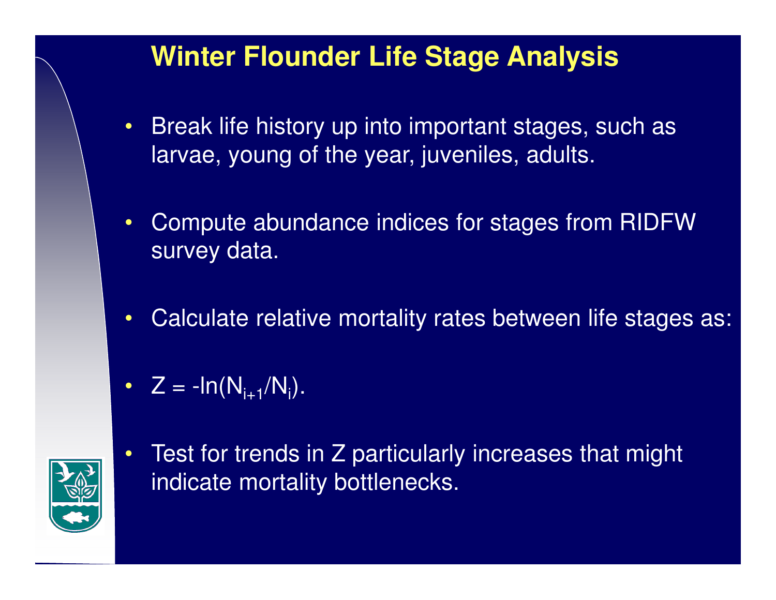## **Winter Flounder Life Stage Analysis**

- $\bullet$  Break life history up into important stages, such as larvae, young of the year, juveniles, adults.
- $\bullet$  Compute abundance indices for stages from RIDFW survey data.
- $\bullet$ Calculate relative mortality rates between life stages as:
- $Z = -\text{ln}(N_{i+1}/N_i)$ .



•

 Test for trends in Z particularly increases that might indicate mortality bottlenecks.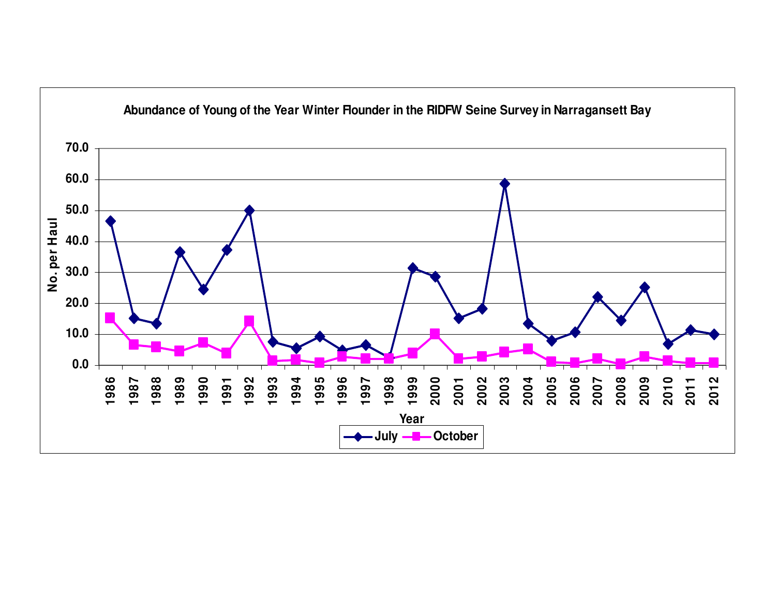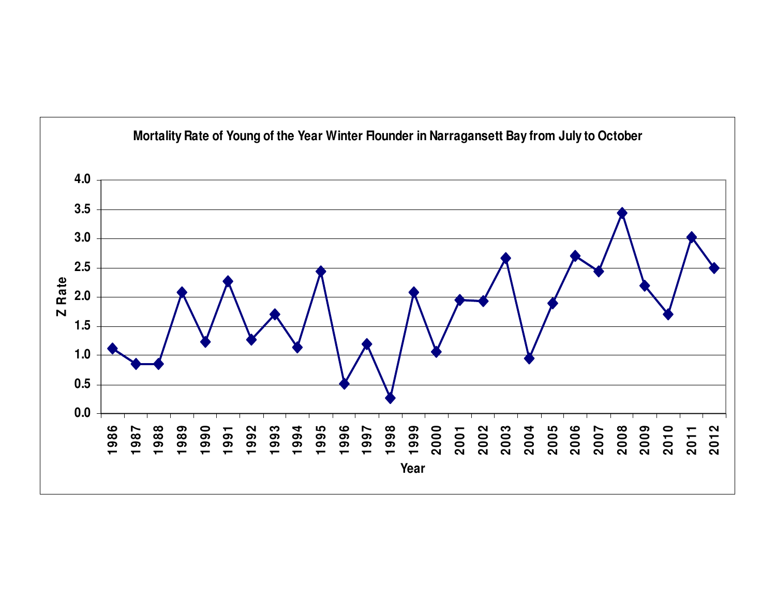